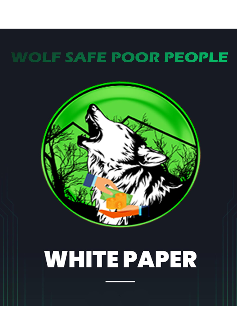## **WOLF SAFE POOR PEOPLE**



# **WHITE PAPER**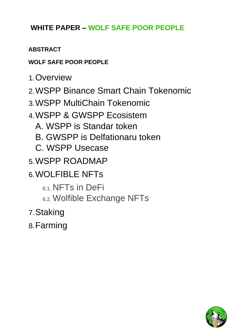## **WHITE PAPER – WOLF SAFE POOR PEOPLE**

## **ABSTRACT**

## **WOLF SAFE POOR PEOPLE**

- 1.Overview
- 2.WSPP Binance Smart Chain Tokenomic
- 3.WSPP MultiChain Tokenomic
- 4.WSPP & GWSPP Ecosistem
	- A. WSPP is Standar token
	- B. GWSPP is Delfationaru token
	- C. WSPP Usecase
- 5.WSPP ROADMAP
- 6.WOLFIBLE NFTs
	- 6.1. NFTs in DeFi
	- 6.2. Wolfible Exchange NFTs
- 7.Staking
- 8.Farming

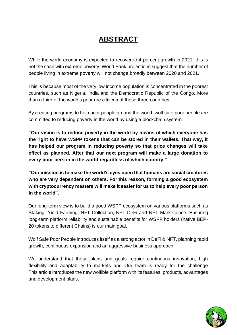## **ABSTRACT**

While the world economy is expected to recover to 4 percent growth in 2021, this is not the case with extreme poverty. World Bank projections suggest that the number of people living in extreme poverty will not change broadly between 2020 and 2021.

This is because most of the very low income population is concentrated in the poorest countries, such as Nigeria, India and the Democratic Republic of the Congo. More than a third of the world's poor are citizens of these three countries.

By creating programs to help poor people around the world, wolf safe poor people are committed to reducing poverty in the world by using a blockchain system.

**"Our vision is to reduce poverty in the world by means of which everyone has the right to have WSPP tokens that can be stored in their wallets. That way, it has helped our program in reducing poverty so that price changes will take effect as planned. After that our next program will make a large donation to every poor person in the world regardless of which country."**

**"Our mission is to make the world's eyes open that humans are social creatures who are very dependent on others. For this reason, forming a good ecosystem with cryptocurrency masters will make it easier for us to help every poor person in the world".**

Our long-term view is to build a good WSPP ecosystem on various platforms such as Staking, Yield Farming, NFT Collection, NFT DeFi and NFT Marketplace. Ensuring long-term platform reliability and sustainable benefits for WSPP holders (native BEP-20 tokens to different Chains) is our main goal.

Wolf Safe Poor People introduces itself as a strong actor in DeFi & NFT, planning rapid growth, continuous expansion and an aggressive business approach.

We understand that these plans and goals require continuous innovation, high flexibility and adaptability to markets and Our team is ready for the challenge This article introduces the new wolfible platform with its features, products, advantages and development plans.

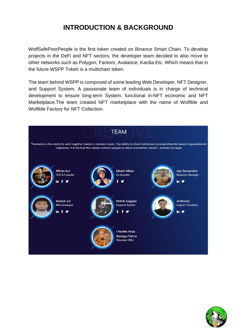## **INTRODUCTION & BACKGROUND**

WolfSafePoorPeople is the first token created on Binance Smart Chain. To develop projects in the DeFi and NFT sectors, the developer team decided to also move to other networks such as Polygon, Fantom, Avalance, Kardia Etc. Which means that in the future WSPP Token is a multichain token.

The team behind WSPP is composed of some leading Web Developer, NFT Designer, and Support System. A passionate team of individuals is in charge of technical development to ensure long-term System, functional in-NFT economic and NFT Marketplace.The team created NFT marketplace with the name of Wolfible and Wolfible Factory for NFT Collection.



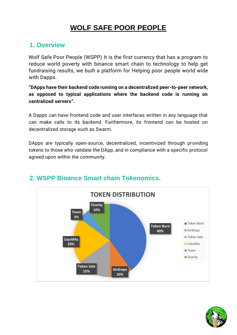## **WOLF SAFE POOR PEOPLE**

#### **1. Overview**

Wolf Safe Poor People (WSPP) It is the first currency that has a program to reduce world poverty with binance smart chain to technology to help get fundraising results, we built a platform for Helping poor people world wide with Dapps.

**"DApps have their backend code running on a decentralized peer-to-peer network, as opposed to typical applications where the backend code is running on centralized servers".**

A Dapps can have frontend code and user interfaces written in any language that can make calls to its backend. Furthermore, its frontend can be hosted on decentralized storage such as Swarm.

DApps are typically open-source, decentralized, incentivized through providing tokens to those who validate the DApp, and in compliance with a specific protocol agreed upon within the community.



## **2. WSPP Binance Smart chain Tokenomics.**

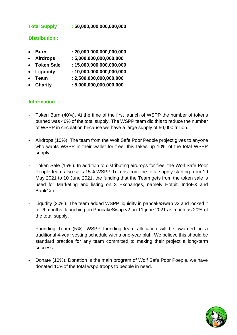#### **Total Supply : 50,000,000,000,000,000**

#### **Distribution :**

- **Burn : 20,000,000,000,000,000**
- **Airdrops : 5,000,000,000,000,000**
- **Token Sale : 15,000,000,000,000,000**
- **Liquidity : 10,000,000,000,000,000**
- **Team : 2,500,000,000,000,000**
- **Charity : 5,000,000,000,000,000**

#### **Information :**

- Token Burn (40%). At the time of the first launch of WSPP the number of tokens burned was 40% of the total supply. The WSPP team did this to reduce the number of WSPP in circulation because we have a large supply of 50,000 trillion.
- Airdrops (10%). The team from the Wolf Safe Poor People project gives to anyone who wants WSPP in their wallet for free, this takes up 10% of the total WSPP supply.
- Token Sale (15%). In addition to distributing airdrops for free, the Wolf Safe Poor People team also sells 15% WSPP Tokens from the total supply starting from 19 May 2021 to 10 June 2021, the funding that the Team gets from the token sale is used for Marketing and listing on 3 Exchanges, namely Hotbit, IndoEX and BankCex.
- Liqudity (20%). The team added WSPP liquidity in pancakeSwap v2 and locked it for 6 months, launching on PancakeSwap v2 on 11 june 2021 as much as 20% of the total supply.
- Founding Team (5%) .WSPP founding team allocation will be awarded on a traditional 4-year vesting schedule with a one-year bluff. We believe this should be standard practice for any team committed to making their project a long-term success.
- Donate (10%). Donation is the main program of Wolf Safe Poor Poeple, we have donated 10%of the total wspp troops to people in need.

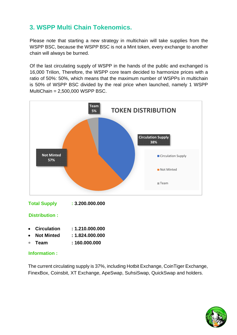## **3. WSPP Multi Chain Tokenomics.**

Please note that starting a new strategy in multichain will take supplies from the WSPP BSC, because the WSPP BSC is not a Mint token, every exchange to another chain will always be burned.

Of the last circulating supply of WSPP in the hands of the public and exchanged is 16,000 Trilion, Therefore, the WSPP core team decided to harmonize prices with a ratio of 50%: 50%, which means that the maximum number of WSPPs in multichain is 50% of WSPP BSC divided by the real price when launched, namely 1 WSPP MultiChain = 2,500,000 WSPP BSC.



**Distribution :**

- **Circulation : 1.210.000.000**
- **Not Minted : 1.824.000.000**
- **Team : 160.000.000**

#### **Information :**

The current circulating supply is 37%, including Hotbit Exchange, CoinTiger Exchange, FinexBox, Coinsbit, XT Exchange, ApeSwap, SuhsiSwap, QuickSwap and holders.

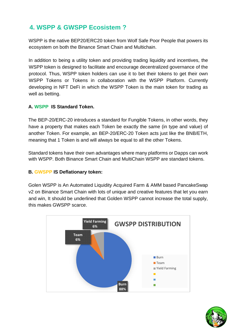## **4. WSPP & GWSPP Ecosistem ?**

WSPP is the native BEP20/ERC20 token from Wolf Safe Poor People that powers its ecosystem on both the Binance Smart Chain and Multichain.

In addition to being a utility token and providing trading liquidity and incentives, the WSPP token is designed to facilitate and encourage decentralized governance of the protocol. Thus, WSPP token holders can use it to bet their tokens to get their own WSPP Tokens or Tokens in collaboration with the WSPP Platform. Currently developing in NFT DeFi in which the WSPP Token is the main token for trading as well as betting.

#### **A. WSPP IS Standard Token.**

The BEP-20/ERC-20 introduces a standard for Fungible Tokens, in other words, they have a property that makes each Token be exactly the same (in type and value) of another Token. For example, an BEP-20/ERC-20 Token acts just like the BNB/ETH, meaning that 1 Token is and will always be equal to all the other Tokens.

Standard tokens have their own advantages where many platforms or Dapps can work with WSPP. Both Binance Smart Chain and MultiChain WSPP are standard tokens.

#### **B. GWSPP IS Deflationary token:**

Golen WSPP is An Automated Liquidity Acquired Farm & AMM based PancakeSwap v2 on Binance Smart Chain with lots of unique and creative features that let you earn and win, It should be underlined that Golden WSPP cannot increase the total supply, this makes GWSPP scarce.



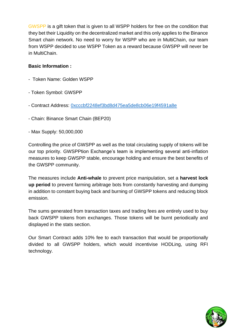GWSPP is a gift token that is given to all WSPP holders for free on the condition that they bet their Liquidity on the decentralized market and this only applies to the Binance Smart chain network. No need to worry for WSPP who are in MultiChain, our team from WSPP decided to use WSPP Token as a reward because GWSPP will never be in MultiChain.

#### **Basic Information :**

- Token Name: Golden WSPP
- Token Symbol: GWSPP
- Contract Address: [0xcccbf2248ef3bd8d475ea5de8cb06e19f4591a8e](https://bscscan.com/token/0xcccbf2248ef3bd8d475ea5de8cb06e19f4591a8e)
- Chain: Binance Smart Chain (BEP20)
- Max Supply: 50,000,000

Controlling the price of GWSPP as well as the total circulating supply of tokens will be our top priority. GWSPPtion Exchange's team is implementing several anti-inflation measures to keep GWSPP stable, encourage holding and ensure the best benefits of the GWSPP community.

The measures include **Anti-whale** to prevent price manipulation, set a **harvest lock up period** to prevent farming arbitrage bots from constantly harvesting and dumping in addition to constant buying back and burning of GWSPP tokens and reducing block emission.

The sums generated from transaction taxes and trading fees are entirely used to buy back GWSPP tokens from exchanges. Those tokens will be burnt periodically and displayed in the stats section.

Our Smart Contract adds 10% fee to each transaction that would be proportionally divided to all GWSPP holders, which would incentivise HODLing, using RFI technology.

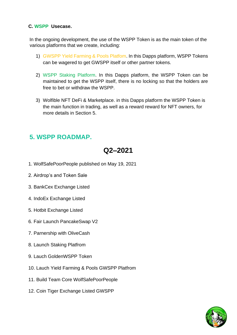#### **C. WSPP Usecase.**

In the ongoing development, the use of the WSPP Token is as the main token of the various platforms that we create, including:

- 1) GWSPP Yield Farming & Pools Platfom. In this Dapps platform, WSPP Tokens can be wagered to get GWSPP itself or other partner tokens.
- 2) WSPP Staking Platform. In this Dapps platform, the WSPP Token can be maintained to get the WSPP itself, there is no locking so that the holders are free to bet or withdraw the WSPP.
- 3) Wolfible NFT DeFi & Marketplace. in this Dapps platform the WSPP Token is the main function in trading, as well as a reward reward for NFT owners, for more details in Section 5.

## **5. WSPP ROADMAP.**

## **Q2–2021**

- 1. WolfSafePoorPeople published on May 19, 2021
- 2. Airdrop's and Token Sale
- 3. BankCex Exchange Listed
- 4. IndoEx Exchange Listed
- 5. Hotbit Exchange Listed
- 6. Fair Launch PancakeSwap V2
- 7. Parnership with OliveCash
- 8. Launch Staking Platfrom
- 9. Lauch GoldenWSPP Token
- 10. Lauch Yield Farming & Pools GWSPP Platfrom
- 11. Build Team Core WolfSafePoorPeople
- 12. Coin Tiger Exchange Listed GWSPP

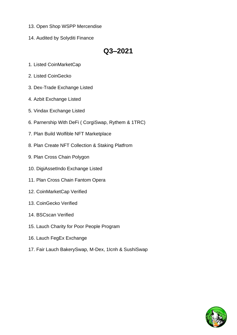- 13. Open Shop WSPP Mercendise
- 14. Audited by Solyditi Finance

## **Q3–2021**

- 1. Listed CoinMarketCap
- 2. Listed CoinGecko
- 3. Dex-Trade Exchange Listed
- 4. Azbit Exchange Listed
- 5. Vindax Exchange Listed
- 6. Parnership With DeFi ( CorgiSwap, Rythem & 1TRC)
- 7. Plan Build Wolfible NFT Marketplace
- 8. Plan Create NFT Collection & Staking Platfrom
- 9. Plan Cross Chain Polygon
- 10. DigiAssetIndo Exchange Listed
- 11. Plan Cross Chain Fantom Opera
- 12. CoinMarketCap Verified
- 13. CoinGecko Verified
- 14. BSCscan Verified
- 15. Lauch Charity for Poor People Program
- 16. Lauch FegEx Exchange
- 17. Fair Lauch BakerySwap, M-Dex, 1Icnh & SushiSwap

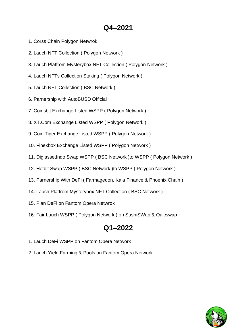## **Q4–2021**

- 1. Corss Chain Polygon Netwrok
- 2. Lauch NFT Collection ( Polygon Network )
- 3. Lauch Platfrom Mysterybox NFT Collection ( Polygon Network )
- 4. Lauch NFTs Collection Staking ( Polygon Network )
- 5. Lauch NFT Collection ( BSC Network )
- 6. Parnership with AutoBUSD Official
- 7. Coinsbit Exchange Listed WSPP ( Polygon Network )
- 8. XT.Com Exchange Listed WSPP ( Polygon Network )
- 9. Coin Tiger Exchange Listed WSPP ( Polygon Network )
- 10. Finexbox Exchange Listed WSPP ( Polygon Network )
- 11. DigiassetIndo Swap WSPP ( BSC Network )to WSPP ( Polygon Network )
- 12. Hotbit Swap WSPP ( BSC Network )to WSPP ( Polygon Network )
- 13. Parnership With DeFi ( Farmagedon, Kala Finance & Phoenix Chain )
- 14. Lauch Platfrom Mysterybox NFT Collection ( BSC Network )
- 15. Plan DeFi on Fantom Opera Netwrok
- 16. Fair Lauch WSPP ( Polygon Network ) on SushiSWap & Quicswap

## **Q1–2022**

- 1. Lauch DeFi WSPP on Fantom Opera Network
- 2. Lauch Yield Farming & Pools on Fantom Opera Network

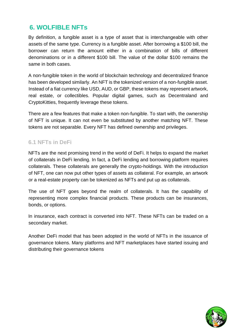## **6. WOLFIBLE NFTs**

By definition, a fungible asset is a type of asset that is interchangeable with other assets of the same type. Currency is a fungible asset. After borrowing a \$100 bill, the borrower can return the amount either in a combination of bills of different denominations or in a different \$100 bill. The value of the dollar \$100 remains the same in both cases.

A non-fungible token in the world of blockchain technology and decentralized finance has been developed similarly. An NFT is the tokenized version of a non-fungible asset. Instead of a fiat currency like USD, AUD, or GBP, these tokens may represent artwork, real estate, or collectibles. Popular digital games, such as Decentraland and CryptoKitties, frequently leverage these tokens.

There are a few features that make a token non-fungible. To start with, the ownership of NFT is unique. It can not even be substituted by another matching NFT. These tokens are not separable. Every NFT has defined ownership and privileges.

#### **6.1 NFTs in DeFi**

NFTs are the next promising trend in the world of DeFi. It helps to expand the market of collaterals in DeFi lending. In fact, a DeFi lending and borrowing platform requires collaterals. These collaterals are generally the crypto-holdings. With the introduction of NFT, one can now put other types of assets as collateral. For example, an artwork or a real-estate property can be tokenized as NFTs and put up as collaterals.

The use of NFT goes beyond the realm of collaterals. It has the capability of representing more complex financial products. These products can be insurances, bonds, or options.

In insurance, each contract is converted into NFT. These NFTs can be traded on a secondary market.

Another DeFi model that has been adopted in the world of NFTs in the issuance of governance tokens. Many platforms and NFT marketplaces have started issuing and distributing their governance tokens

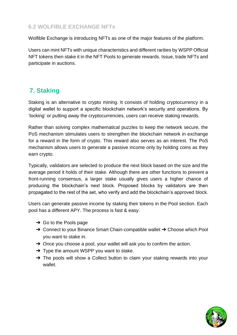#### **6.2 WOLFIBLE EXCHANGE NFTs**

Wolfible Exchange is introducing NFTs as one of the major features of the platform.

Users can mint NFTs with unique characteristics and different rarities by WSPP Official NFT tokens then stake it in the NFT Pools to generate rewards. Issue, trade NFTs and participate in auctions.

## **7. Staking**

Staking is an alternative to crypto mining. It consists of holding cryptocurrency in a digital wallet to support a specific blockchain network's security and operations. By 'locking' or putting away the cryptocurrencies, users can receive staking rewards.

Rather than solving complex mathematical puzzles to keep the network secure, the PoS mechanism stimulates users to strengthen the [blockchain](https://learn.bybit.com/blockchain/what-is-blockchain/) [network](https://learn.bybit.com/blockchain/what-is-blockchain/) in exchange for a reward in the form of crypto. This reward also serves as an interest. The PoS mechanism allows users to generate a passive income only by holding coins as they earn crypto.

Typically, validators are selected to produce the next block based on the size and the average period it holds of their stake. Although there are other functions to prevent a front-running consensus, a larger stake usually gives users a higher chance of producing the blockchain's next block. Proposed blocks by validators are then propagated to the rest of the set, who verify and add the blockchain's approved block.

Users can generate passive income by staking their tokens in the Pool section. Each pool has a different APY. The process is fast & easy.

- $\rightarrow$  Go to the Pools page
- → Connect to your Binance Smart Chain-compatible wallet → Choose which Pool you want to stake in.
- → Once you choose a pool, your wallet will ask you to confirm the action.
- $\rightarrow$  Type the amount WSPP you want to stake.
- → The pools will show a Collect button to claim your staking rewards into your wallet.